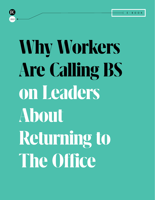

# **Why Workers Are Calling BS on Leaders About Returningto The Office**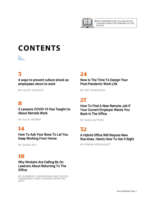

# **CONTENTS**

### [3](#page-2-0)

4 ways to prevent culture shock as [employees return to work](#page-2-0)

[BY HALEY WOZNYJ](#page-2-0)

### [8](#page-7-0)

3 Lessons COVID-19 Has Taught Us [About Remote Work](#page-7-0)

[BY JULIA HERBST](#page-7-0)

### [14](#page-13-0)

How To Ask Your Boss To Let You [Keep Working From Home](#page-13-0)

[BY DIANA SHI](#page-13-0)

### [18](#page-17-0)

[Why Workers Are Calling Bs On](#page-17-0)  Lead-[ers About Returning To The](#page-17-0) **Office** 

BY KIMBERLY MERRIMAN AND DAVID [GREENWAY AND TAMARA MONTAG-](#page-17-0)**SMIT** 

#### [24](#page-23-0)

Now Is The Time To Design Your [Post-Pandemic Work Life](#page-23-0)

[BY ART MARKMAN](#page-23-0)

### [27](#page-26-0)

[How To Find A New Remote Job If](#page-26-0) Your Current Employer Wants You [Back In The Office](#page-26-0)

[BY SARA SUTTON](#page-26-0)

### 32

[A Hybrid Office Will Require New](#page-31-0) Rou[-tines. Here's How To Get It Right](#page-31-0)

[BY FRANK WEISHAUPT](#page-31-0)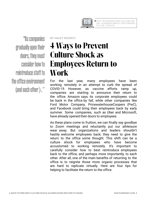

<span id="page-2-0"></span>"As companies gradually open their doors, they must consider how to reintroduce staff to the office environment (and each other)."

BY HALEY WOZNYJ

# **4 Ways to Prevent Culture Shock as Employees Return to Work**

For the last year, many employees have been working remotely in an attempt to curb the spread of COVID-19. However, as vaccine efforts ramp up, companies are starting to announce their return to the office. Amazon says its corporate employees could be back in the office by fall, while other companies like Ford Motor Company, PricewaterhouseCoopers (PwC), and Facebook could bring their employees back by early summer. Some companies, such as Uber and Microsoft, have already opened their doors to employees.

As these plans come to fruition, we can finally say goodbye to Zoom meetings and reluctantly put our athleisure wear away. But organizations and leaders shouldn't hastily welcome employees back; they need to give the return to the office some thought. This shift can be a culture shock for employees who have become accustomed to working remotely. It's important to carefully consider how to best reintroduce employees back to the office, and perhaps more importantly, to each other. After all, one of the main benefits of returning to the office is to reignite those more organic processes that are hard to replicate virtually. Here are four tips for helping to facilitate the return to the office.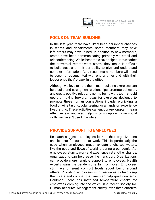

#### **FOCUS ON TEAM BUILDING**

In the last year, there have likely been personnel changes in teams and departments—some members may have left, others may have joined. In addition to new members, teams have been communicating primarily via email and teleconferencing. While these tools have helped us to weather the proverbial remote-work storm, they make it difficult to build trust and limit our ability to give and understand complex information. As a result, team members will need to become reacquainted with one another and with their leader once they're back in the office.

Although we love to hate them, team-building exercises can help build and strengthen relationships, promote cohesion, and create positive roles and norms for how the team should operate moving forward. Ideas for exercises designed to promote these human connections include: picnicking, a food or wine tasting, volunteering, or a hands-on experience like crafting. These activities can encourage long-term team effectiveness and also help us brush up on those social skills we haven't used in a while.

#### **PROVIDE SUPPORT TO EMPLOYEES**

Research suggests employees look to their organizations and leaders for support at work. This is particularly the case when employees must navigate uncharted waters, like the ebbs and flows of working during a pandemic. As employees return to work and experience yet another change, organizations can help ease the transition. Organizations can provide more tangible support to employees. Health experts warn the pandemic is far from over. Employees still have different comfort levels about being around others. Providing employees with resources to help keep them safe and combat the virus can help quell concerns. Goldman Sachs has instituted temperature checks for employees coming into the office. In a recent Society for Human Resource Management survey, over three-quarters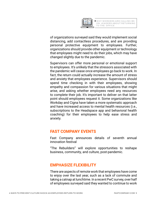

of organizations surveyed said they would implement social distancing, add contactless procedures, and are providing personal protective equipment to employees. Further, organizations should provide other equipment or technology that employees might need to do their jobs, which may have changed slightly due to the pandemic.

Supervisors can offer more personal or emotional support to employees. It's unlikely that the stressors associated with the pandemic will cease once employees go back to work. In fact, the return could actually increase the amount of stress and anxiety that employees experience. Supervisors should spend time checking in with their employees, showing empathy and compassion for various situations that might arise, and asking whether employees need any resources to complete their job. It's important to deliver on that latter point should employees request it. Some organizations like Workday and Cigna have taken a more systematic approach and have increased access to mental health resources (i.e., subscriptions to the Headspace app and behavioral health coaching) for their employees to help ease stress and anxiety.

#### **FAST COMPANY EVENTS**

Fast Company announces details of seventh annual innovation festival

"The Rebuilders" will explore opportunities to reshape business, community, and culture, post-pandemic.

#### **EMPHASIZE FLEXIBILITY**

There are aspects of remote work that employees have come to enjoy over the last year, such as a lack of commute and taking a catnap at lunchtime. In a recent PwC survey, over half of employees surveyed said they wanted to continue to work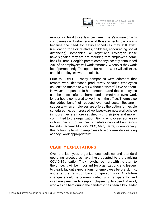

remotely at least three days per week. There's no reason why companies can't retain some of those aspects, particularly because the need for flexible schedules may still exist (i.e., caring for sick relatives, childcare, encouraging social distancing). Companies like Target and JPMorgan Chase have signaled they are not requiring that employees come back full time. Google's parent company recently announced 20% of its employees will work remotely "wherever they work best" permanently. The option for remote work will still exist, should employees want to take it.

Prior to COVID-19, many companies were adamant that remote work decreased productivity because employees couldn't be trusted to work without a watchful eye on them. However, the pandemic has demonstrated that employees can be successful at home and sometimes even work longer hours compared to working in the office. There's also the added benefit of reduced overhead costs. Research suggests when employees are offered the option for flexible schedules (i.e., compressed workweeks, remote work, choice in hours, they are more satisfied with their jobs and more committed to the organization. Giving employees some say in how they structure their schedules can yield numerous benefits. General Motors's CEO, Mary Barra, is embracing this notion by trusting employees to work remotely as long as they "work appropriately."

#### **CLARIFY EXPECTATIONS**

Over the last year, organizational policies and standard operating procedures have likely adapted to the evolving COVID-19 situation. They may change more with the return to the office. It will be important for organizations and leaders to clearly lay out expectations for employees before, during, and after the transition back to in-person work. Any future changes should be communicated fully, transparently, and in a timely manner to keep employees up to speed. Marriot, who was hit hard during the pandemic has been a key leader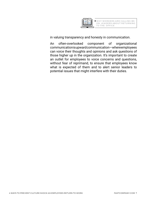

in valuing transparency and honesty in communication.

An often-overlooked component of organizational communication is upward communication—where employees can voice their thoughts and opinions and ask questions of those higher up in the organization. It's important to create an outlet for employees to voice concerns and questions, without fear of reprimand, to ensure that employees know what is expected of them and to alert senior leaders to potential issues that might interfere with their duties.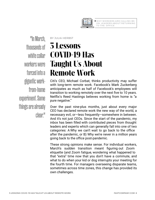

<span id="page-7-0"></span>"In March, thousands of white collar workers were forced into a gigantic workfrom-home experiment. Some things are already clear."

# **3 Lessons COVID-19 Has Taught Us About Remote Work**

BY JULIA HERBST

Citi's CEO, Michael Corbat, thinks productivity may suffer with long-term remote work. Facebook's Mark Zuckerberg anticipates as much as half of Facebook's employees will transition to working remotely over the next five to 10 years. Netflix's Reed Hastings believes working from home is "a pure negative."

Over the past nine-plus months, just about every major CEO has declared remote work the new way of the world, a necessary evil, or—less frequently—somewhere in between. And it's not just CEOs. Since the start of the pandemic, my inbox has been filled with contributed pieces from thought leaders and experts which can generally fall into one of two categories: A Why we can't wait to go back to the office after the pandemic, or B) Why we're never in a million years going back to the office post-pandemic.

These strong opinions make sense. For individual workers, March's sudden transition meant figuring out Zoom etiquette (and Zoom fatigue, wondering what happened to that "extra" time now that you don't have a commute, and what to do when your kid or dog interrupts your meeting for the fourth time. For managers overseeing disparate teams, sometimes across time zones, this change has provided its own challenges.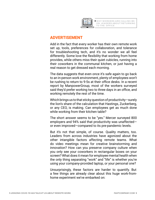

#### **ADVERTISEMENT**

Add in the fact that every worker has their own remote work set up, tools, preferences for collaboration, and tolerance for troubleshooting tech, and it's no wonder we all feel differently. Some love the flexibility that working from home provides, while others miss their quiet cubicles, running into their coworkers in the communal kitchen, or just having a real reason to get dressed each morning.

The data suggests that even once it's safe again to go back to an in-person work environment, plenty of employees won't be rushing to return to 9-5s at their office desks. In a recent report by ManpowerGroup, most of the workers surveyed said they'd prefer working two to three days in an office, and working remotely the rest of the time.

Which brings us to that sticky question of productivity—surely the lion's share of the calculation that Hastings, Zuckerberg, or any CEO, is making. Can employees get as much done while working from their kitchen table?

The short answer seems to be "yes." Mercer surveyed 800 employers and 94% said that productivity was unaffected or even improved—compared to its pre-pandemic levels.

But it's not that simple, of course. Quality matters, too. Leaders from across industries have agonized about the other intangible factors affecting remote teams. What do video meetings mean for creative brainstorming and innovation? How can you preserve company culture when you only see your coworkers in rectangular boxes on your screen? What does it mean for employee mental health when the only thing separating "work" and "life" is whether you're using your company-provided laptop, or your personal one?

Unsurprisingly, these factors are harder to quantify. But a few things are already clear about this huge work-fromhome experiment we've embarked on: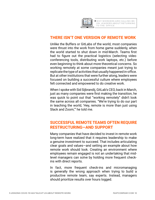

#### **THERE ISN'T ONE VERSION OF REMOTE WORK**

Unlike the Buffers or GitLabs of the world, most companies were thrust into the work from home game suddenly, when the world started to shut down in mid-March. Teams first had to figure out the practical logistics (selecting video conferencing tools, distributing work laptops, etc.) before even beginning to think about more theoretical concerns. So working remotely at some companies meant just trying to replicate the type of activities that usually happened in-office. But at other institutions that were further along, leaders were focused on building a successful culture where employees felt connected and empowered to do creative work.

When I spoke with Sid Sijbrandij, GitLab's CEO, back in March, just as many companies were first making the transition, he was quick to point out that "working remotely" didn't look the same across all companies. "We're trying to do our part in teaching the world, 'Hey, remote is more than just using Slack and Zoom,'" he told me.

#### **SUCCESSFUL REMOTE TEAMS OFTEN REQUIRE RESTRUCTURING—AND SUPPORT**

Many companies that have decided to invest in remote work long-term have realized that it requires leadership to make a genuine investment to succeed. That includes articulating clear goals and values—and setting an example about how remote work should look. Creating an environment where employees remain engaged is not an undertaking that midlevel managers can solve by holding more frequent checkins with direct reports.

In fact, more frequent check-ins and micromanaging is generally the wrong approach when trying to build a productive remote team, say experts. Instead, managers should prioritize results over hours logged.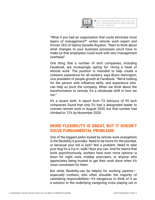

"What if you had an organization that could eliminate most layers of management?" writes remote work expert and former CEO of Optiva Danielle Royston. "Start to think about what changes to your business processes you'd have to make so that employees could work with zero management overhead."

One thing that a number of tech companies, including Facebook, are increasingly opting for: Hiring a head of remote work. The position is intended to help create a cohesive experience for all workers, says Brynn Harrington, vice president of people growth at Facebook. "We're looking for the person with influence, skills, and experience who can help us pivot the company. When we think about the transformation to remote, it's a wholesale shift in how we run."

It's a recent shift. A report from T3 Advisors of 95 tech companies found that only 2% had a designated leader to oversee remote work in August 2020, but that number had climbed to 12% by November 2020.

#### **MORE FLEXIBILITY IS GREAT, BUT IT DOESN'T SOLVE FUNDAMENTAL PROBLEMS**

One of the biggest perks touted by remote work evangelists is the flexibility it provides. Need to be home for the plumber, or because your kid is sick? Not a problem. Need to take your dog for a 3 p.m. walk? Now you can. And for teams that work asynchronously, workers have even more options—a boon for night owls, midday exercisers, or anyone who appreciates being trusted to get their work done when it's most convenient for them.

But while flexibility can be helpful for working parents especially mothers, who often shoulder the majority of caretaking responsibilities—it's dangerous to think of it as a solution to the underlying caregiving crisis playing out in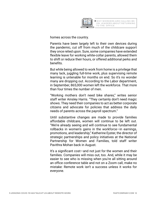

homes across the country.

Parents have been largely left to their own devices during the pandemic, cut off from much of the childcare support they once relied upon. Sure, some companies have extended flexible leave for working white-collar parents, allowed them to shift or reduce their hours, or offered additional perks and benefits.

But while being allowed to work from home is a privilege that many lack, juggling full-time work, plus supervising remote learning is untenable for months on end. So it's no wonder many are dropping out. According to the Labor department, in September, 865,000 women left the workforce. That more than four times the number of men.

"Working mothers don't need bike shares," writes senior staff writer Ainsley Harris. "They certainly don't need magic shows. They need their companies to act as better corporate citizens and advocate for policies that address the daily needs of parents across the payroll spectrum."

Until substantive changes are made to provide families affordable childcare, women will continue to be left out. "We're already seeing and will continue to see fundamental rollbacks in women's gains in the workforce—in earnings, promotions, and leadership," Katherine Eyster, the director of strategic partnerships and policy initiatives at the National Partnership for Women and Families, told staff writer Pavithra Mohan back in August.

It's a significant cost—and not just for the women and their families. Companies will miss out, too. And, while it may be easier to see who is missing when you're all sitting around an office conference table and not on a Zoom call, make no mistake: Remote work isn't a success unless it works for everyone.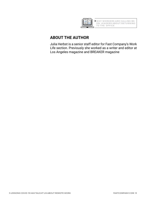

#### **ABOUT THE AUTHOR**

Julia Herbst is a senior staff editor for Fast Company's Work Life section. Previously she worked as a writer and editor at Los Angeles magazine and BREAKER magazine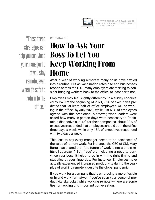

<span id="page-13-0"></span>"These three strategies can help you con-vince your manager to let you stay remote, even when it's safe to return to the office."

BY DIANA SHI

# **How To Ask Your Boss To Let You Keep Working From Home**

After a year of working remotely, many of us have settled into a routine. But as vaccination rates rise and businesses reopen across the U.S., many employers are starting to consider bringing workers back to the office, at least part time.

Employees may feel slightly differently. In a survey conducted by PwC at the beginning of 2021, 75% of executives predicted that "at least half of office employees will be working in the office" by July 2021, while just 61% of employees agreed with this prediction. Moreover, when leaders were asked how many in-person days were necessary to "maintain a distinctive culture" for their companies, about 30% of executives responded that employees should be in the office three days a week, while only 15% of executives responded with two days a week.

This isn't to say every manager needs to be convinced of the value of remote work. For instance, the CEO of GM, Mary Barra, has shared that "the future of work is not a one-sizefits-all approach." But if you're anticipating a need to convince your boss, it helps to go in with the right timing and statistics at your fingertips. For instance: Employees have actually experienced increased productivity during the yearplus of working remotely, despite the global pandemic.

If you work for a company that is embracing a more flexible or hybrid work format—or if you've seen your personal productivity skyrocket while working remotely—here are some tips for tackling this important conversation.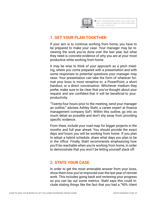

#### **1. GET YOUR PLAN TOGETHER**

If your aim is to continue working from home, you have to be prepared to make your case. Your manager may be reviewing the work you've done over the last year, but what they need is concrete evidence of why you are at your most productive while working from home.

It may be wise to think of your approach as a pitch meeting, where you come prepared with a presentation and with some responses to potential questions your manager may raise. Your presentation can take the form of whatever format your boss is most receptive to: a PowerPoint, a short handout, or a direct conversation. Whichever medium they prefer, make sure to be clear that you've thought about your request and are confident that it will be beneficial to your productivity.

"Twenty-four hours prior to the meeting, send your manager an outline," advises Ashley Stahl, a career expert at finance management company SoFi. Within this outline, go into as much detail as possible and don't shy away from providing specific evidence.

From there, include your road map for bigger projects in the months and full year ahead. You should provide the exact days and hours you will be working from home. If you plan to adopt a hybrid schedule, share what days you plan to be in the office. Finally, Stahl recommends emphasizing how you'll be reachable when you're working from home, in order to demonstrate that you won't be letting yourself slack off.

#### **2. STATE YOUR CASE**

In order to get the most amenable answer from your boss, show them how you've improved over the last year of remote work. This includes going back and reviewing your progress so you can lay out some metrics. Stahl says this could include stating things like the fact that you had a "90% client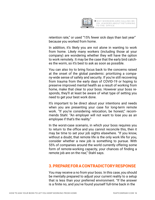

retention rate," or used "15% fewer sick days than last year" because you worked from home.

In addition, it's likely you are not alone in wanting to work from home. Likely many workers (including those at your company) are wondering whether they will have the option to work remotely. It may be the case that the early bird catches the worm, so it's best to ask as soon as possible.

You can also try to bring focus back to the concerns raised at the onset of the global pandemic: prioritizing a company-wide sense of safety and security. If you're still recovering from trauma from the early days of COVID-19 or hoping to preserve improved mental health as a result of working from home, make that clear to your boss. However your boss responds, they'll at least be aware of what type of setting you need to get your best work done.

It's important to be direct about your intentions and needs when you are presenting your case for long-term remote work. "If you're considering relocation, be honest," recommends Stahl. "An employer will not want to lose you as an employee if that's the reality."

In the worst-case scenario, in which your boss requires you to return to the office and you cannot reconcile this, then it may be time to set your job sights elsewhere. "If you know, without a doubt, that remote life is the only work life for you, consider whether a new job is something to pursue. With 55% of companies around the world currently offering some form of remote-working capacity, your chances of finding a remote job are on the rise," Stahl says.

#### **3. PREPARE FOR A CONTRADICTORY RESPONSE**

You may receive a no from your boss. In this case, you should be mentally prepared to adjust your current reality to a setup that is less than your preferred environment. "If the answer is a finite no, and you've found yourself full-time back in the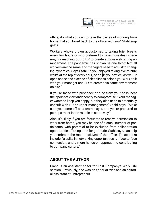

office, do what you can to take the pieces of working from home that you loved back to the office with you," Stahl suggests.

Workers who've grown accustomed to taking brief breaks every few hours or who preferred to have more desk space may try reaching out to HR to create a more welcoming arrangement. The pandemic has shown us one thing: Not all workers are the same, and managers need to adjust to changing dynamics. Says Stahl, "If you enjoyed taking five-minute walks at the top of every hour, do so [in your office] as well. If open space and a sense of cleanliness helped you work, talk with your manager and HR to create this same environment on-site."

If you're faced with pushback or a no from your boss, hear their point of view and then try to compromise. "Your manager wants to keep you happy, but they also need to potentially consult with HR or upper management," Stahl says. "Make sure you come off as a team player, and you're prepared to perhaps meet in the middle in some way."

Also, it's likely if you are fortunate to receive permission to work from home, you may be one of a small number of participants, with potential to be excluded from collaboration opportunities. Taking time for gratitude, Stahl says, can help you embrace the most positives of the office. These perks include, "a spike in networking opportunities . . . face-to-face connection, and a more hands-on approach to contributing to company culture."

#### **ABOUT THE AUTHOR**

Diana is an assistant editor for Fast Company's Work Life section. Previously, she was an editor at Vice and an editorial assistant at Entrepreneur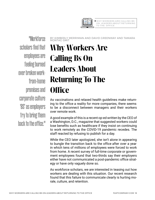

BY KIMBERLY MERRIMAN AND DAVID GREENWAY AND TAMARA

WHY WORKERS ARE CALLING BS ON LEADERS ABOUT RETURNING TO THE OFFICE

<span id="page-17-0"></span>"Workforce scholars find that employees are feeling burned over broken workfrom-home promises and corporate culture 'BS' as employers try to bring them back to the office."

### MONTAG-SMIT **Why Workers Are Calling Bs On Leaders About Returning To The Office**

As vaccinations and relaxed health guidelines make returning to the office a reality for more companies, there seems to be a disconnect between managers and their workers over remote work.

A good example of this is a recent op-ed written by the CEO of a Washington, D.C., magazine that suggested workers could lose benefits such as healthcare if they insist on continuing to work remotely as the COVID-19 pandemic recedes. The staff reacted by refusing to publish for a day.

While the CEO later apologized, she isn't alone in appearing to bungle the transition back to the office after over a year in which tens of millions of employees were forced to work from home. A recent survey of full-time corporate or government employees found that two-thirds say their employers either have not communicated a post-pandemic office strategy or have only vaguely done so.

As workforce scholars, we are interested in teasing out how workers are dealing with this situation. Our recent research found that this failure to communicate clearly is hurting morale, culture, and retention.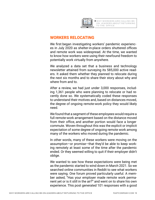

#### **WORKERS RELOCATING**

We first began investigating workers' pandemic experiences in July 2020 as shelter-in-place orders shuttered offices and remote work was widespread. At the time, we wanted to know how workers were using their newfound freedom to potentially work virtually from anywhere.

We analyzed a data set that a business and technology newsletter attained from surveying its 585,000 active readers. It asked them whether they planned to relocate during the next six months and to share their story about why and where from and to.

After a review, we had just under 3,000 responses, including 1,361 people who were planning to relocate or had recently done so. We systematically coded these responses to understand their motives and, based on distances moved, the degree of ongoing remote-work policy they would likely need.

We found that a segment of these employees would require a full remote-work arrangement based on the distance moved from their office, and another portion would face a longer commute. Woven throughout this was the explicit or implicit expectation of some degree of ongoing remote work among many of the workers who moved during the pandemic.

In other words, many of these workers were moving on the assumption—or promise—that they'd be able to keep working remotely at least some of the time after the pandemic ended. Or they seemed willing to quit if their employer didn't oblige.

We wanted to see how these expectations were being met as the pandemic started to wind down in March 2021. So we searched online communities in Reddit to see what workers were saying. One forum proved particularly useful. A member asked, "Has your employer made remote work permanent yet or is it still in the air?" and went on to share his own experience. This post generated 101 responses with a good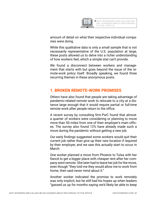

amount of detail on what their respective individual companies were doing.

While this qualitative data is only a small sample that is not necessarily representative of the U.S. population at large, these posts allowed us to delve into a richer understanding of how workers feel, which a simple stat can't provide.

We found a disconnect between workers and management that starts with but goes beyond the issue of the remote-work policy itself. Broadly speaking, we found three recurring themes in these anonymous posts.

#### **1. BROKEN REMOTE-WORK PROMISES**

Others have also found that people are taking advantage of pandemic-related remote work to relocate to a city at a distance large enough that it would require partial or full-time remote work after people return to the office.

A recent survey by consulting firm PwC found that almost a quarter of workers were considering or planning to move more than 50 miles from one of their employer's main offices. The survey also found 12% have already made such a move during the pandemic without getting a new job.

Our early findings suggested some workers would quit their current job rather than give up their new location if required by their employer, and we saw this actually start to occur in March.

One worker planned a move from Phoenix to Tulsa with her fiancé to get a bigger place with cheaper rent after her company went remote. She later had to leave her job for the move, even though "they told me they would allow me to work from home, then said never mind about it."

Another worker indicated the promise to work remotely was only implicit, but he still had his hopes up when leaders "gassed us up for months saying we'd likely be able to keep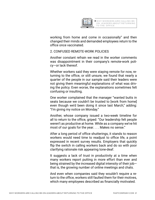

working from home and come in occasionally" and then changed their minds and demanded employees return to the office once vaccinated.

2. CONFUSED REMOTE-WORK POLICIES

Another constant refrain we read in the worker comments was disappointment in their company's remote-work policy—or lack thereof.

Whether workers said they were staying remote for now, returning to the office, or still unsure, we found that nearly a quarter of the people in our sample said their leaders were not giving them meaningful explanations of what was driving the policy. Even worse, the explanations sometimes felt confusing or insulting.

One worker complained that the manager "wanted butts in seats because we couldn't be trusted to [work from home] even though we'd been doing it since last March," adding: "I'm giving my notice on Monday."

Another, whose company issued a two-week timeline for all to return to the office, griped: "Our leadership felt people weren't as productive at home. While as a company we've hit most of our goals for the year. . . . Makes no sense."

After a long period of office shutterings, it stands to reason workers would need time to readjust to office life, a point expressed in recent survey results. Employers that quickly flip the switch in calling workers back and do so with poor clarifying rationale risk appearing tone-deaf.

It suggests a lack of trust in productivity at a time when many workers report putting in more effort than ever and being strained by the increased digital intensity of their job that is, the growing number of online meetings and chats.

And even when companies said they wouldn't require a return to the office, workers still faulted them for their motives, which many employees described as financially motivated.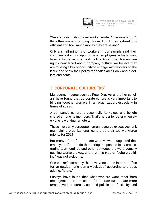

"We are going hybrid," one worker wrote. "I personally don't think the company is doing it for us. I think they realized how efficient and how much money they are saving."

Only a small minority of workers in our sample said their company asked for input on what employees actually want from a future remote work policy. Given that leaders are rightly concerned about company culture, we believe they are missing a key opportunity to engage with workers on the issue and show their policy rationales aren't only about dollars and cents.

#### **3. CORPORATE CULTURE "BS"**

Management gurus such as Peter Drucker and other scholars have found that corporate culture is very important to binding together workers in an organization, especially in times of stress.

A company's culture is essentially its values and beliefs shared among its members. That's harder to foster when everyone is working remotely.

That's likely why corporate human resource executives rank maintaining organizational culture as their top workforce priority for 2021.

But many of the forum posts we reviewed suggested that employer efforts to do that during the pandemic by orchestrating team outings and other get-togethers were actually pushing workers away, and that this type of "culture building" was not welcome.

One worker's company "had everyone come into the office for an outdoor luncheon a week ago," according to a post, adding: "Idiots."

Surveys have found that what workers want most from management, on the issue of corporate culture, are more remote-work resources, updated policies on flexibility, and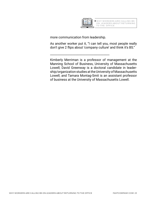

more communication from leadership.

\_\_\_\_\_\_\_\_\_\_\_\_\_\_\_\_\_\_\_\_\_\_\_\_\_\_\_\_\_\_\_\_\_\_\_\_\_\_\_\_

As another worker put it, "I can tell you, most people really don't give 2 flips about 'company culture' and think it's BS."

Kimberly Merriman is a professor of management at the Manning School of Business, University of Massachusetts Lowell; David Greenway is a doctoral candidate in leadership/organization studies at the University of Massachusetts Lowell; and Tamara Montag-Smit is an assistant professor of business at the University of Massachusetts Lowell.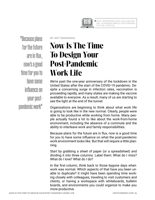

<span id="page-23-0"></span>"Because plans for the future are in flux, now's a good time for you to have some influence on your postpandemic work"

BY ART MARKMAN

# **Now Is The Time To Design Your Post-Pandemic Work Life**

We're past the one-year anniversary of the lockdown in the United States after the start of the COVID-19 pandemic. Despite a concerning surge in infection rates, vaccination is proceeding rapidly, and many states are making the vaccine available to everyone. As a result, many of us are starting to see the light at the end of the tunnel.

Organizations are beginning to think about what work life is going to look like in the new normal. Clearly, people were able to be productive while working from home. Many people actually found a lot to like about the work-from-home environment, including the absence of a commute and the ability to interleave work and family responsibilities.

Because plans for the future are in flux, now is a good time for you to have some influence on what the post-pandemic work environment looks like. But that will require a little planning.

Start by grabbing a sheet of paper (or a spreadsheet) and dividing it into three columns. Label them: What do I miss? What do I love? What do I do?

In the first column, think back to those bygone days when work was normal. Which aspects of that have you been unable to duplicate? It might have been spending time working closely with colleagues, traveling to visit customers and clients, or having a workspace with whiteboards, bulletin boards, and environments you could organize to make you more productive.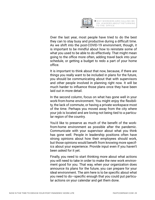

Over the last year, most people have tried to do the best they can to stay busy and productive during a difficult time. As we shift into the post-COVID-19 environment, though, it is important to be mindful about how to reinstate some of what you used to be able to do effectively. That might mean going to the office more often, adding travel back into your schedule, or getting a budget to redo a part of your home office.

It is important to think about that now, because, if there are things you really want to be included in plans for the future, you should be communicating about that with supervisors and other people involved in planning right now. It will be much harder to influence those plans once they have been laid out in more detail.

In the second column, focus on what has gone well in your work-from-home environment. You might enjoy the flexibility, the lack of commute, or having a private workspace most of the time. Perhaps you moved away from the city where your job is located and are loving not being tied to a particular region of the country.

You'd like to preserve as much of the benefit of the workfrom-home environment as possible after the pandemic. Communicate with your supervisor about what you think has gone well. People in leadership positions often have strong opinions about how their employees should work, but those opinions would benefit from knowing more specifics about your experience. Provide input even if you haven't been asked for it yet.

Finally, you need to start thinking more about what actions you will need to take in order to make the new work environment good for you. That way, when your organization does announce its plans for the future, you can prepare for your ideal environment. The aim here is to be specific about what you need to do—specific enough that you could put particular actions on your calendar and get them done.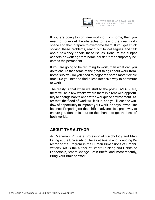

If you are going to continue working from home, then you need to figure out the obstacles to having the ideal workspace and then prepare to overcome them. If you get stuck solving these problems, reach out to colleagues and talk about how they handle these issues. Don't let the subpar aspects of working from home persist if the temporary becomes the permanent.

If you are going to be returning to work, then what can you do to ensure that some of the great things about work-fromhome survive? Do you need to negotiate some more flexible time? Do you need to find a less intensive way to commute to work?

The reality is that when we shift to the post-COVID-19 era, there will be a few weeks where there is a renewed opportunity to change habits and fix the workplace environment. After that, the flood of work will kick in, and you'll lose the window of opportunity to improve your work life or your work-life balance. Preparing for that shift in advance is a great way to ensure you don't miss out on the chance to get the best of both worlds.

#### **ABOUT THE AUTHOR**

Art Markman, PhD is a professor of Psychology and Marketing at the University of Texas at Austin and Founding Director of the Program in the Human Dimensions of Organizations. Art is the author of Smart Thinking and Habits of Leadership, Smart Change, Brain Briefs, and, most recently, Bring Your Brain to Work.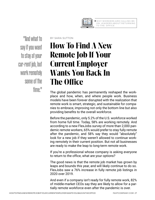

<span id="page-26-0"></span>"And what to say if you want to stay at your cur-rent job, but work remotely some of the time."

#### BY SARA SUTTON

### **How To Find A New Remote Job If Your Current Employer Wants You Back In The Office**

The global pandemic has permanently reshaped the workplace and how, when, and where people work. Business models have been forever disrupted with the realization that remote work is smart, strategic, and sustainable for companies to embrace, improving not only the bottom line but also providing benefits to the overall workforce.

Before the pandemic, only 5.2% of the U.S. workforce worked from home full time. Today, 58% are working remotely. And according to a new FlexJobs survey of more than 2,000 pandemic remote workers, 65% would prefer to stay fully remote after the pandemic, and 58% say they would "absolutely" look for a new job if they weren't allowed to continue working remotely in their current position. But not all businesses are ready to make the leap to long-term remote work.

If you're a professional whose company is asking everyone to return to the office, what are your options?

The good news is that the remote job market has grown by leaps and bounds this year, and will likely continue to do so. FlexJobs saw a 76% increase in fully remote job listings in 2020 over 2019.

And even if a company isn't ready for fully remote work, 82% of middle-market CEOs say they are likely to allow for a partially remote workforce even after the pandemic is over.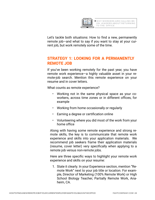

Let's tackle both situations: How to find a new, permanently remote job—and what to say if you want to stay at your current job, but work remotely some of the time.

#### **STRATEGY 1: LOOKING FOR A PERMANENTLY REMOTE JOB**

If you've been working remotely for the past year, you have remote work experience—a highly valuable asset in your remote-job search. Mention this remote experience on your resume and in cover letters.

What counts as remote experience?

- Working not in the same physical space as your coworkers, across time zones or in different offices, for example
- Working from home occasionally or regularly
- Earning a degree or certification online
- Volunteering where you did most of the work from your home office

Along with having some remote experience and strong remote skills, the key is to communicate that remote work experience and skills into your application materials. We recommend job seekers frame their application materials (resume, cover letter) very specifically when applying to a remote job versus non-remote jobs.

Here are three specific ways to highlight your remote work experience and skills on your resume:

1. State it clearly. In your Experience section, mention "Remote Work" next to your job title or location. For example, Director of Marketing (100% Remote Work) or High School Biology Teacher, Partially Remote Work, Anaheim, CA.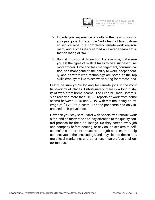

- 2. Include your experience or skills in the descriptions of your past jobs. For example, "led a team of five customer service reps in a completely remote-work environment, and successfully earned an average team satisfaction rating of 94%."
- 3. Build it into your skills section. For example, make sure you list the types of skills it takes to be a successful remote worker. Time and task management, communication, self-management, the ability to work independently, and comfort with technology are some of the top skills employers like to see when hiring for remote jobs.

Lastly, be sure you're looking for remote jobs in the most trustworthy of places. Unfortunately, there is a long history of work-from-home scams. The Federal Trade Commission received more than 58,000 reports of work-from-home scams between 2015 and 2019, with victims losing an average of \$1,200 to a scam. And the pandemic has only increased their prevalence.

How can you stay safe? Start with specialized remote-work sites, and no matter the site, pay attention to the quality control process for their job listings. Do they screen every job and company before posting, or rely on job seekers to selfscreen? It's important to use remote job sources that help connect you to the best listings, and stay clear of the scams, multi-level marketing, and other less-than-professional opportunities.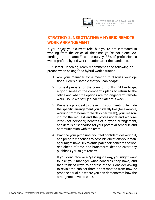

#### **STRATEGY 2: NEGOTIATING A HYBRID REMOTE WORK ARRANGEMENT**

If you enjoy your current role, but you're not interested in working from the office all the time, you're not alone! According to that same FlexJobs survey, 33% of professionals would prefer a hybrid work situation after the pandemic.

Our Career Coaching Team recommends the following approach when asking for a hybrid work situation:

- 1. Ask your manager for a meeting to discuss your options. Here's a sample that you can adapt:
- 2. To best prepare for the coming months, I'd like to get a good sense of the company's plans to return to the office and what the options are for longer-term remote work. Could we set up a call for later this week?
- 3. Prepare a proposal to present in your meeting. Include the specific arrangement you'd ideally like (for example, working from home three days per week), your reasoning for the request and the professional and work-related (not personal) benefits of a hybrid arrangement, and details or scenarios for your potential schedule and communication with the team.
- 4. Practice your pitch until you feel confident delivering it, and prepare responses to possible questions your manager might have. Try to anticipate their concerns or worries ahead of time, and brainstorm ideas to divert any pushback you might receive.
- 5. If you don't receive a "yes" right away, you might want to ask your manager what concerns they have, and then think of ways to address those. Consider asking to revisit the subject three or six months from now, or propose a trial run where you can demonstrate how the arrangement would work.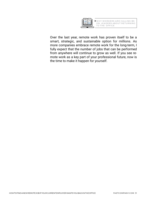

Over the last year, remote work has proven itself to be a smart, strategic, and sustainable option for millions. As more companies embrace remote work for the long-term, I fully expect that the number of jobs that can be performed from anywhere will continue to grow as well. If you see remote work as a key part of your professional future, now is the time to make it happen for yourself.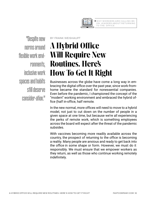

<span id="page-31-0"></span>"Despite new norms around flexible work environments, inclusive work spaces and habits still deserve consider-ation."

#### BY FRANK WEISHAUPT

# **A Hybrid Office Will Require New Routines. Here's How To Get It Right**

Businesses across the globe have come a long way in embracing the digital office over the past year, since work-fromhome became the standard for nonessential companies. Even before the pandemic, I championed the concept of the "modern" working environment and embraced the hybrid office (half in-office, half remote.

In the new normal, more offices will need to move to a hybrid model, not just to cut down on the number of people in a given space at one time, but because we're all experiencing the perks of remote work, which is something employees across the board will expect after the threat of the pandemic subsides.

With vaccines becoming more readily available across the country, the prospect of returning to the office is becoming a reality. Many people are anxious and ready to get back into the office in some shape or form. However, we must do it responsibly. We must ensure that we empower workers as they return, as well as those who continue working remotely indefinitely.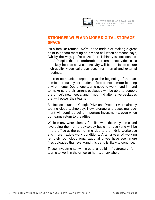

#### **STRONGER WI-FI AND MORE DIGITAL STORAGE SPACE**

It's a familiar routine: We're in the middle of making a great point in a team meeting on a video call when someone says, "Oh by the way, you're frozen," or "I think you lost connection." Despite this uncomfortable circumstance, video calls are likely here to stay; connectivity will be crucial to ensure high-quality video calls can occur for internal and external meetings.

Internet companies stepped up at the beginning of the pandemic, particularly for students forced into remote learning environments. Operations teams need to work hand in hand to make sure their current packages will be able to support the office's new needs, and if not, find alternative packages that will power their teams.

Businesses such as Google Drive and Dropbox were already touting cloud technology. Now, storage and asset management will continue being important investments, even when our teams return to the office.

While many were already familiar with these systems and leveraging them on a day-to-day basis, not everyone will be in the office at the same time, due to the hybrid workplace and more flexible work conditions. After a year of working remotely, our cloud organizational drives have seen more files uploaded than ever—and this trend is likely to continue.

These investments will create a solid infrastructure for teams to work in the office, at home, or anywhere.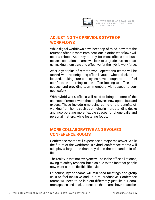

#### **ADJUSTING THE PREVIOUS STATE OF WORKFLOWS**

While digital workflows have been top of mind, now that the return to office is more imminent, our in-office workflows will need a reboot. As a key priority for most offices and businesses, operations teams will look to upgrade current spaces, making them safe and effective for the hybrid workforce.

After a year-plus of remote work, operations teams will be tasked with reconfiguring office layouts: where desks are located, making sure employees have enough room to feel comfortable returning to the office, looking at office soft spaces, and providing team members with spaces to connect safely.

With hybrid work, offices will need to bring in some of the aspects of remote work that employees now appreciate and expect. These include embracing some of the benefits of working from home such as bringing in more standing desks and incorporating more flexible spaces for phone calls and personal matters, while fostering focus.

#### **MORE COLLABORATIVE AND EVOLVED CONFERENCE ROOMS**

Conference rooms will experience a major makeover. While the future of the workforce is hybrid, conference rooms will still play a larger role than they did in the pre-pandemic office.

The reality is that not everyone will be in the office all at once, owing to safety reasons, but also due to the fact that people now want a more flexible lifestyle.

Of course, hybrid teams will still need meetings and group calls to feel inclusive and, in turn, productive. Conference rooms will need to be laid out differently, just like our common spaces and desks, to ensure that teams have space be-